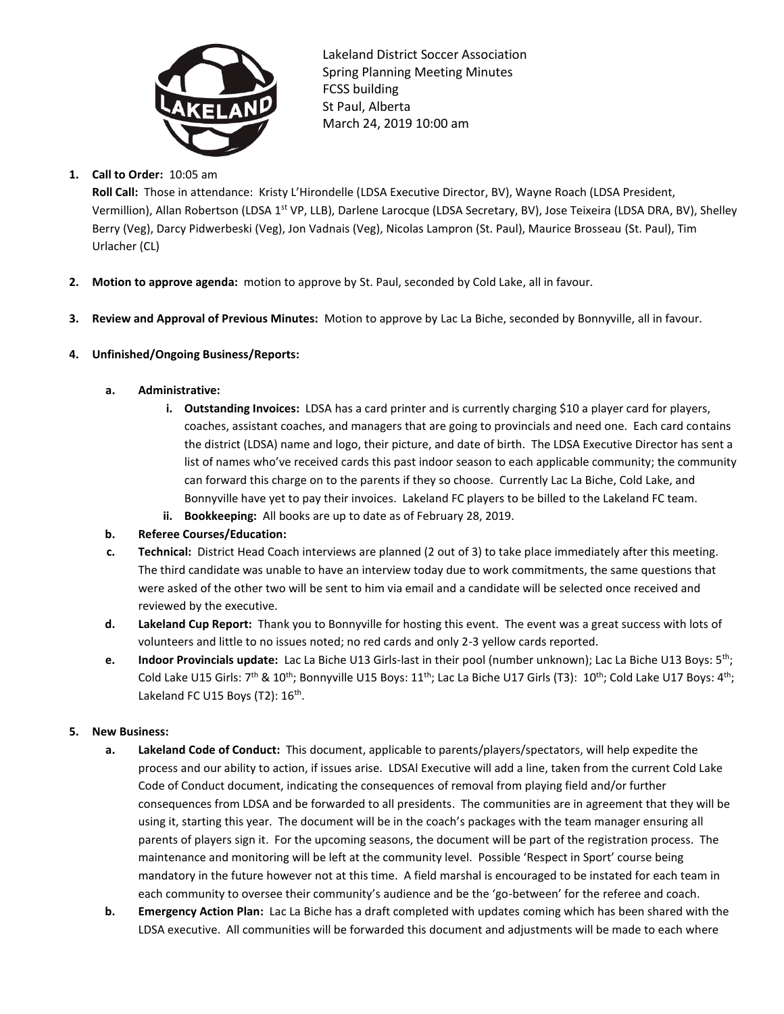

Lakeland District Soccer Association Spring Planning Meeting Minutes FCSS building St Paul, Alberta March 24, 2019 10:00 am

# **1. Call to Order:** 10:05 am

**Roll Call:** Those in attendance: Kristy L'Hirondelle (LDSA Executive Director, BV), Wayne Roach (LDSA President, Vermillion), Allan Robertson (LDSA 1<sup>st</sup> VP, LLB), Darlene Larocque (LDSA Secretary, BV), Jose Teixeira (LDSA DRA, BV), Shelley Berry (Veg), Darcy Pidwerbeski (Veg), Jon Vadnais (Veg), Nicolas Lampron (St. Paul), Maurice Brosseau (St. Paul), Tim Urlacher (CL)

- **2. Motion to approve agenda:** motion to approve by St. Paul, seconded by Cold Lake, all in favour.
- **3. Review and Approval of Previous Minutes:** Motion to approve by Lac La Biche, seconded by Bonnyville, all in favour.

# **4. Unfinished/Ongoing Business/Reports:**

- **a. Administrative:**
	- **i. Outstanding Invoices:** LDSA has a card printer and is currently charging \$10 a player card for players, coaches, assistant coaches, and managers that are going to provincials and need one. Each card contains the district (LDSA) name and logo, their picture, and date of birth. The LDSA Executive Director has sent a list of names who've received cards this past indoor season to each applicable community; the community can forward this charge on to the parents if they so choose. Currently Lac La Biche, Cold Lake, and Bonnyville have yet to pay their invoices. Lakeland FC players to be billed to the Lakeland FC team.
	- **ii. Bookkeeping:** All books are up to date as of February 28, 2019.
- **b. Referee Courses/Education:**
- **c. Technical:** District Head Coach interviews are planned (2 out of 3) to take place immediately after this meeting. The third candidate was unable to have an interview today due to work commitments, the same questions that were asked of the other two will be sent to him via email and a candidate will be selected once received and reviewed by the executive.
- **d. Lakeland Cup Report:** Thank you to Bonnyville for hosting this event. The event was a great success with lots of volunteers and little to no issues noted; no red cards and only 2-3 yellow cards reported.
- **e. Indoor Provincials update:** Lac La Biche U13 Girls-last in their pool (number unknown); Lac La Biche U13 Boys: 5th; Cold Lake U15 Girls:  $7^{th}$  & 10<sup>th</sup>; Bonnyville U15 Boys:  $11^{th}$ ; Lac La Biche U17 Girls (T3):  $10^{th}$ ; Cold Lake U17 Boys:  $4^{th}$ ; Lakeland FC U15 Boys (T2): 16<sup>th</sup>.

# **5. New Business:**

- **a. Lakeland Code of Conduct:** This document, applicable to parents/players/spectators, will help expedite the process and our ability to action, if issues arise. LDSAl Executive will add a line, taken from the current Cold Lake Code of Conduct document, indicating the consequences of removal from playing field and/or further consequences from LDSA and be forwarded to all presidents. The communities are in agreement that they will be using it, starting this year. The document will be in the coach's packages with the team manager ensuring all parents of players sign it. For the upcoming seasons, the document will be part of the registration process. The maintenance and monitoring will be left at the community level. Possible 'Respect in Sport' course being mandatory in the future however not at this time. A field marshal is encouraged to be instated for each team in each community to oversee their community's audience and be the 'go-between' for the referee and coach.
- **b. Emergency Action Plan:** Lac La Biche has a draft completed with updates coming which has been shared with the LDSA executive. All communities will be forwarded this document and adjustments will be made to each where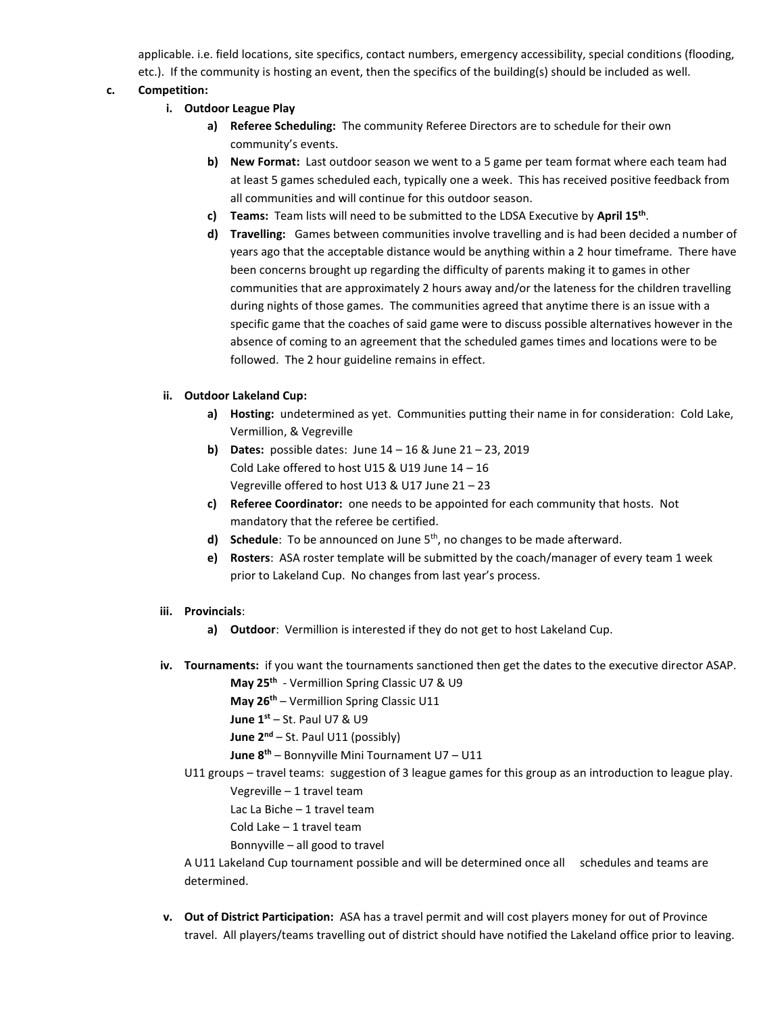applicable. i.e. field locations, site specifics, contact numbers, emergency accessibility, special conditions (flooding, etc.). If the community is hosting an event, then the specifics of the building(s) should be included as well.

# **c. Competition:**

- **i. Outdoor League Play**
	- **a) Referee Scheduling:** The community Referee Directors are to schedule for their own community's events.
	- **b) New Format:** Last outdoor season we went to a 5 game per team format where each team had at least 5 games scheduled each, typically one a week. This has received positive feedback from all communities and will continue for this outdoor season.
	- **c) Teams:** Team lists will need to be submitted to the LDSA Executive by **April 15th** .
	- **d) Travelling:** Games between communities involve travelling and is had been decided a number of years ago that the acceptable distance would be anything within a 2 hour timeframe. There have been concerns brought up regarding the difficulty of parents making it to games in other communities that are approximately 2 hours away and/or the lateness for the children travelling during nights of those games. The communities agreed that anytime there is an issue with a specific game that the coaches of said game were to discuss possible alternatives however in the absence of coming to an agreement that the scheduled games times and locations were to be followed. The 2 hour guideline remains in effect.

## **ii. Outdoor Lakeland Cup:**

- **a) Hosting:** undetermined as yet. Communities putting their name in for consideration: Cold Lake, Vermillion, & Vegreville
- **b) Dates:** possible dates: June 14 16 & June 21 23, 2019 Cold Lake offered to host U15 & U19 June 14 – 16 Vegreville offered to host U13 & U17 June 21 – 23
- **c) Referee Coordinator:** one needs to be appointed for each community that hosts. Not mandatory that the referee be certified.
- **d) Schedule**: To be announced on June 5<sup>th</sup>, no changes to be made afterward.
- **e) Rosters**: ASA roster template will be submitted by the coach/manager of every team 1 week prior to Lakeland Cup. No changes from last year's process.
- **iii. Provincials**:
	- **a) Outdoor**:Vermillion is interested if they do not get to host Lakeland Cup.
- **iv. Tournaments:** if you want the tournaments sanctioned then get the dates to the executive director ASAP.

**May 25th** - Vermillion Spring Classic U7 & U9

**May 26th** – Vermillion Spring Classic U11

**June 1st** – St. Paul U7 & U9

**June 2nd** – St. Paul U11 (possibly)

**June 8th** – Bonnyville Mini Tournament U7 – U11

U11 groups – travel teams: suggestion of 3 league games for this group as an introduction to league play. Vegreville – 1 travel team

Lac La Biche – 1 travel team

Cold Lake – 1 travel team

Bonnyville – all good to travel

A U11 Lakeland Cup tournament possible and will be determined once all schedules and teams are determined.

**v. Out of District Participation:** ASA has a travel permit and will cost players money for out of Province travel. All players/teams travelling out of district should have notified the Lakeland office prior to leaving.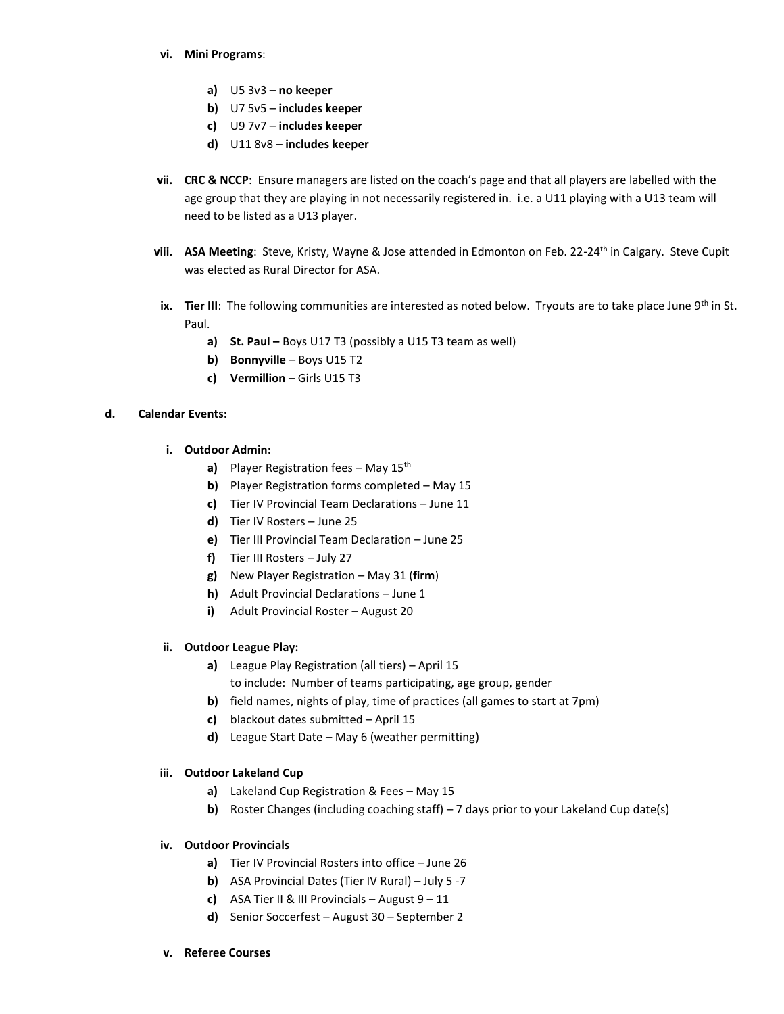#### **vi. Mini Programs**:

- **a)** U5 3v3 **no keeper**
- **b)** U7 5v5 **includes keeper**
- **c)** U9 7v7 **includes keeper**
- **d)** U11 8v8 **includes keeper**
- **vii. CRC & NCCP**: Ensure managers are listed on the coach's page and that all players are labelled with the age group that they are playing in not necessarily registered in. i.e. a U11 playing with a U13 team will need to be listed as a U13 player.
- viii. **ASA Meeting**: Steve, Kristy, Wayne & Jose attended in Edmonton on Feb. 22-24<sup>th</sup> in Calgary. Steve Cupit was elected as Rural Director for ASA.
- ix. Tier III: The following communities are interested as noted below. Tryouts are to take place June 9<sup>th</sup> in St. Paul.
	- **a) St. Paul –** Boys U17 T3 (possibly a U15 T3 team as well)
	- **b)** Bonnyville Boys U15 T2
	- **c) Vermillion** Girls U15 T3

### **d. Calendar Events:**

- **i. Outdoor Admin:**
	- **a)** Player Registration fees May 15th
	- **b)** Player Registration forms completed May 15
	- **c)** Tier IV Provincial Team Declarations June 11
	- **d)** Tier IV Rosters June 25
	- **e)** Tier III Provincial Team Declaration June 25
	- **f)** Tier III Rosters July 27
	- **g)** New Player Registration May 31 (**firm**)
	- **h)** Adult Provincial Declarations June 1
	- **i)** Adult Provincial Roster August 20

#### **ii. Outdoor League Play:**

- **a)** League Play Registration (all tiers) April 15 to include: Number of teams participating, age group, gender
- **b)** field names, nights of play, time of practices (all games to start at 7pm)
- **c)** blackout dates submitted April 15
- **d)** League Start Date May 6 (weather permitting)

#### **iii. Outdoor Lakeland Cup**

- **a)** Lakeland Cup Registration & Fees May 15
- **b)** Roster Changes (including coaching staff) 7 days prior to your Lakeland Cup date(s)

#### **iv. Outdoor Provincials**

- **a)** Tier IV Provincial Rosters into office June 26
- **b)** ASA Provincial Dates (Tier IV Rural) July 5 -7
- **c)** ASA Tier II & III Provincials August  $9 11$
- **d)** Senior Soccerfest August 30 September 2

#### **v. Referee Courses**